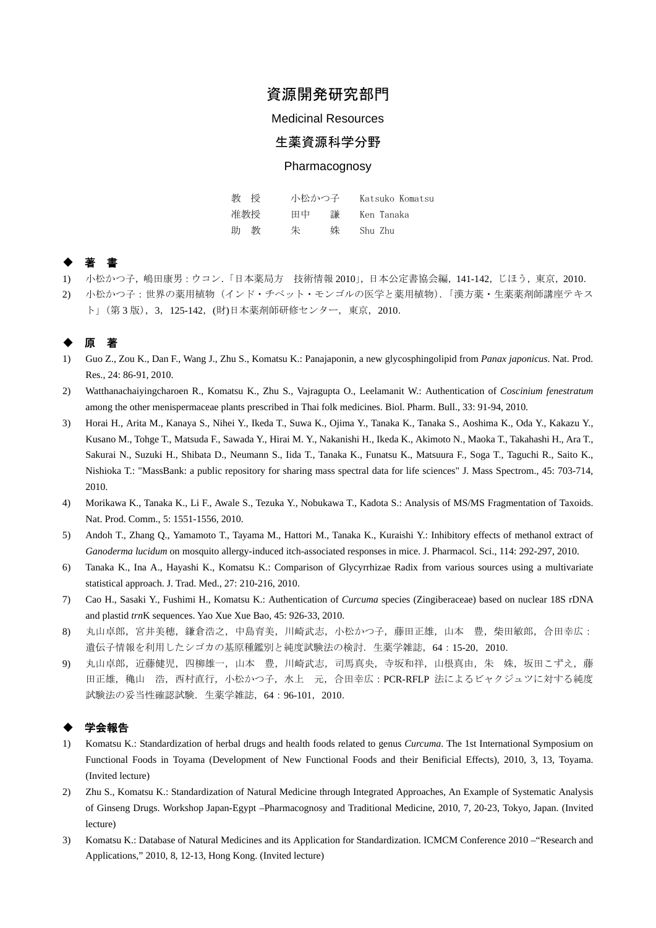# 資源開発研究部門

#### Medicinal Resources

## 生薬資源科学分野

#### **Pharmacognosy**

| 教授     | 小松かつ子   | Katsuko Komatsu |
|--------|---------|-----------------|
| 准教授    | 田中<br>謙 | Ken Tanaka      |
| 教<br>助 | 朱<br>姝  | Shu Zhu         |

## ◆ 著 書

- 1) 小松かつ子,嶋田康男:ウコン.「日本薬局方 技術情報 2010」,日本公定書協会編,141-142,じほう,東京,2010.
- 2) 小松かつ子:世界の薬用植物(インド・チベット・モンゴルの医学と薬用植物).「漢方薬・生薬薬剤師講座テキス ト」(第 3 版),3,125-142,(財)日本薬剤師研修センター,東京,2010.

## ◆ 原 著

- 1) Guo Z., Zou K., Dan F., Wang J., Zhu S., Komatsu K.: Panajaponin, a new glycosphingolipid from *Panax japonicus*. Nat. Prod. Res., 24: 86-91, 2010.
- 2) Watthanachaiyingcharoen R., Komatsu K., Zhu S., Vajragupta O., Leelamanit W.: Authentication of *Coscinium fenestratum* among the other menispermaceae plants prescribed in Thai folk medicines. Biol. Pharm. Bull., 33: 91-94, 2010.
- 3) Horai H., Arita M., Kanaya S., Nihei Y., Ikeda T., Suwa K., Ojima Y., Tanaka K., Tanaka S., Aoshima K., Oda Y., Kakazu Y., Kusano M., Tohge T., Matsuda F., Sawada Y., Hirai M. Y., Nakanishi H., Ikeda K., Akimoto N., Maoka T., Takahashi H., Ara T., Sakurai N., Suzuki H., Shibata D., Neumann S., Iida T., Tanaka K., Funatsu K., Matsuura F., Soga T., Taguchi R., Saito K., Nishioka T.: "MassBank: a public repository for sharing mass spectral data for life sciences" J. Mass Spectrom., 45: 703-714, 2010.
- 4) Morikawa K., Tanaka K., Li F., Awale S., Tezuka Y., Nobukawa T., Kadota S.: Analysis of MS/MS Fragmentation of Taxoids. Nat. Prod. Comm., 5: 1551-1556, 2010.
- 5) Andoh T., Zhang Q., Yamamoto T., Tayama M., Hattori M., Tanaka K., Kuraishi Y.: Inhibitory effects of methanol extract of *Ganoderma lucidum* on mosquito allergy-induced itch-associated responses in mice. J. Pharmacol. Sci., 114: 292-297, 2010.
- 6) Tanaka K., Ina A., Hayashi K., Komatsu K.: Comparison of Glycyrrhizae Radix from various sources using a multivariate statistical approach. J. Trad. Med., 27: 210-216, 2010.
- 7) Cao H., Sasaki Y., Fushimi H., Komatsu K.: Authentication of *Curcuma* species (Zingiberaceae) based on nuclear 18S rDNA and plastid *trn*K sequences. Yao Xue Xue Bao, 45: 926-33, 2010.
- 8) 丸山卓郎,宮井美穂,鎌倉浩之,中島育美,川崎武志,小松かつ子,藤田正雄,山本 豊,柴田敏郎,合田幸広: 遺伝子情報を利用したシゴカの基原種鑑別と純度試験法の検討. 生薬学雑誌, 64:15-20, 2010.
- 9) 丸山卓郎,近藤健児,四柳雄一,山本 豊,川崎武志,司馬真央,寺坂和祥,山根真由,朱 姝,坂田こずえ,藤 田正雄,穐山 浩,西村直行,小松かつ子,水上 元,合田幸広: PCR-RFLP 法によるビャクジュツに対する純度 試験法の妥当性確認試験.生薬学雑誌,64:96-101,2010.

#### ◆ 学会報告

- 1) Komatsu K.: Standardization of herbal drugs and health foods related to genus *Curcuma*. The 1st International Symposium on Functional Foods in Toyama (Development of New Functional Foods and their Benificial Effects), 2010, 3, 13, Toyama. (Invited lecture)
- 2) Zhu S., Komatsu K.: Standardization of Natural Medicine through Integrated Approaches, An Example of Systematic Analysis of Ginseng Drugs. Workshop Japan-Egypt –Pharmacognosy and Traditional Medicine, 2010, 7, 20-23, Tokyo, Japan. (Invited lecture)
- 3) Komatsu K.: Database of Natural Medicines and its Application for Standardization. ICMCM Conference 2010 –"Research and Applications," 2010, 8, 12-13, Hong Kong. (Invited lecture)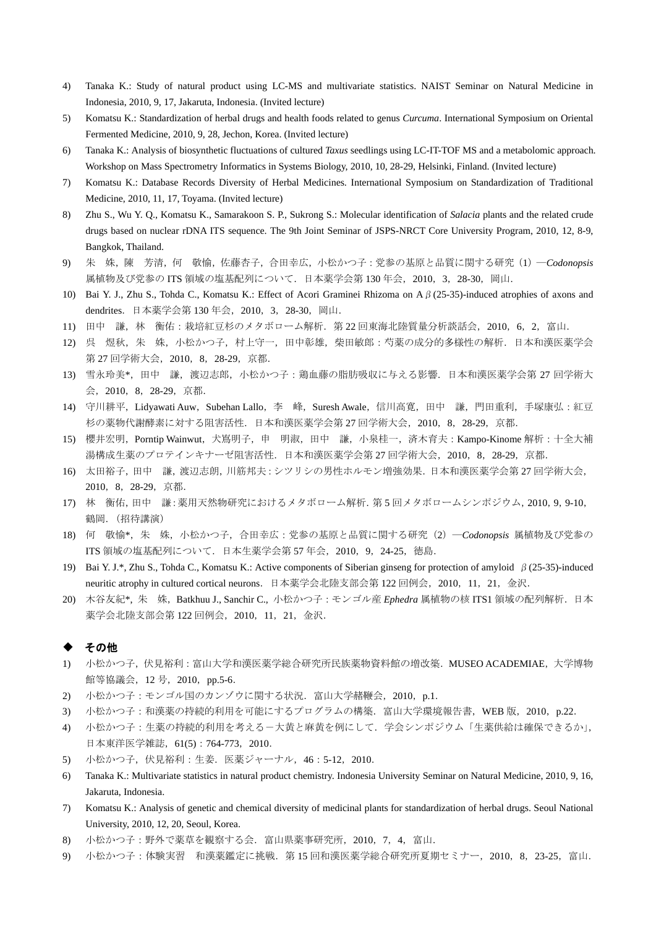- 4) Tanaka K.: Study of natural product using LC-MS and multivariate statistics. NAIST Seminar on Natural Medicine in Indonesia, 2010, 9, 17, Jakaruta, Indonesia. (Invited lecture)
- 5) Komatsu K.: Standardization of herbal drugs and health foods related to genus *Curcuma*. International Symposium on Oriental Fermented Medicine, 2010, 9, 28, Jechon, Korea. (Invited lecture)
- 6) Tanaka K.: Analysis of biosynthetic fluctuations of cultured *Taxus* seedlings using LC-IT-TOF MS and a metabolomic approach. Workshop on Mass Spectrometry Informatics in Systems Biology, 2010, 10, 28-29, Helsinki, Finland. (Invited lecture)
- 7) Komatsu K.: Database Records Diversity of Herbal Medicines. International Symposium on Standardization of Traditional Medicine, 2010, 11, 17, Toyama. (Invited lecture)
- 8) Zhu S., Wu Y. Q., Komatsu K., Samarakoon S. P., Sukrong S.: Molecular identification of *Salacia* plants and the related crude drugs based on nuclear rDNA ITS sequence. The 9th Joint Seminar of JSPS-NRCT Core University Program, 2010, 12, 8-9, Bangkok, Thailand.
- 9) 朱 姝,陳 芳清,何 敬愉,佐藤杏子,合田幸広,小松かつ子:党参の基原と品質に関する研究(1)―*Codonopsis* 属植物及び党参の ITS 領域の塩基配列について. 日本薬学会第 130 年会, 2010, 3, 28-30, 岡山.
- 10) Bai Y. J., Zhu S., Tohda C., Komatsu K.: Effect of Acori Graminei Rhizoma on Aβ(25-35)-induced atrophies of axons and dendrites. 日本薬学会第 130 年会, 2010, 3, 28-30, 岡山.
- 11) 田中 謙, 林 衡佑: 栽培紅豆杉のメタボローム解析. 第22回東海北陸質量分析談話会, 2010, 6, 2, 富山.
- 12) 呉 煜秋,朱 姝,小松かつ子,村上守一,田中彰雄,柴田敏郎:芍薬の成分的多様性の解析.日本和漢医薬学会 第 27 回学術大会,2010,8,28-29,京都.
- 13) 雪永玲美\*,田中 謙,渡辺志郎,小松かつ子:鶏血藤の脂肪吸収に与える影響.日本和漢医薬学会第 27 回学術大 会,2010,8,28-29,京都.
- 14) 守川耕平, Lidyawati Auw, Subehan Lallo, 李 峰, Suresh Awale, 信川高寛, 田中 謙, 門田重利, 手塚康弘:紅豆 杉の薬物代謝酵素に対する阻害活性.日本和漢医薬学会第 27 回学術大会,2010,8,28-29,京都.
- 15) 櫻井宏明, Porntip Wainwut, 犬嶌明子, 申 明淑, 田中 謙, 小泉桂一, 済木育夫: Kampo-Kinome 解析: 十全大補 湯構成生薬のプロテインキナーゼ阻害活性.日本和漢医薬学会第 27 回学術大会,2010,8,28-29,京都.
- 16) 太田裕子,田中 謙,渡辺志朗,川筋邦夫:シツリシの男性ホルモン増強効果.日本和漢医薬学会第 27 回学術大会, 2010,8,28-29,京都.
- 17) 林 衡佑,田中 謙:薬用天然物研究におけるメタボローム解析.第 5 回メタボロームシンポジウム,2010,9,9-10, 鶴岡. (招待講演)
- 18) 何 敬愉\*,朱 姝,小松かつ子,合田幸広:党参の基原と品質に関する研究(2)―*Codonopsis* 属植物及び党参の ITS 領域の塩基配列について.日本生薬学会第 57 年会,2010,9,24-25,徳島.
- 19) Bai Y. J.\*, Zhu S., Tohda C., Komatsu K.: Active components of Siberian ginseng for protection of amyloid β(25-35)-induced neuritic atrophy in cultured cortical neurons. 日本薬学会北陸支部会第 122 回例会, 2010, 11, 21, 金沢.
- 20) 木谷友紀\*, 朱 姝,Batkhuu J., Sanchir C., 小松かつ子:モンゴル産 *Ephedra* 属植物の核 ITS1 領域の配列解析.日本 薬学会北陸支部会第 122 回例会,2010,11,21,金沢.

#### ◆ その他

- 1) 小松かつ子,伏見裕利:富山大学和漢医薬学総合研究所民族薬物資料館の増改築.MUSEO ACADEMIAE,大学博物 館等協議会, 12号, 2010, pp.5-6.
- 2) 小松かつ子:モンゴル国のカンゾウに関する状況. 富山大学赭鞭会, 2010, p.1.
- 3) 小松かつ子:和漢薬の持続的利用を可能にするプログラムの構築. 富山大学環境報告書, WEB 版, 2010, p.22.
- 4) 小松かつ子:生薬の持続的利用を考える-大黄と麻黄を例にして.学会シンポジウム「生薬供給は確保できるか」, 日本東洋医学雑誌,61(5):764-773,2010.
- 5) 小松かつ子,伏見裕利:生姜.医薬ジャーナル,46:5-12,2010.
- 6) Tanaka K.: Multivariate statistics in natural product chemistry. Indonesia University Seminar on Natural Medicine, 2010, 9, 16, Jakaruta, Indonesia.
- 7) Komatsu K.: Analysis of genetic and chemical diversity of medicinal plants for standardization of herbal drugs. Seoul National University, 2010, 12, 20, Seoul, Korea.
- 8) 小松かつ子:野外で薬草を観察する会.富山県薬事研究所,2010,7,4,富山.
- 9) 小松かつ子:体験実習 和漢薬鑑定に挑戦.第 15 回和漢医薬学総合研究所夏期セミナー,2010,8,23-25,富山.